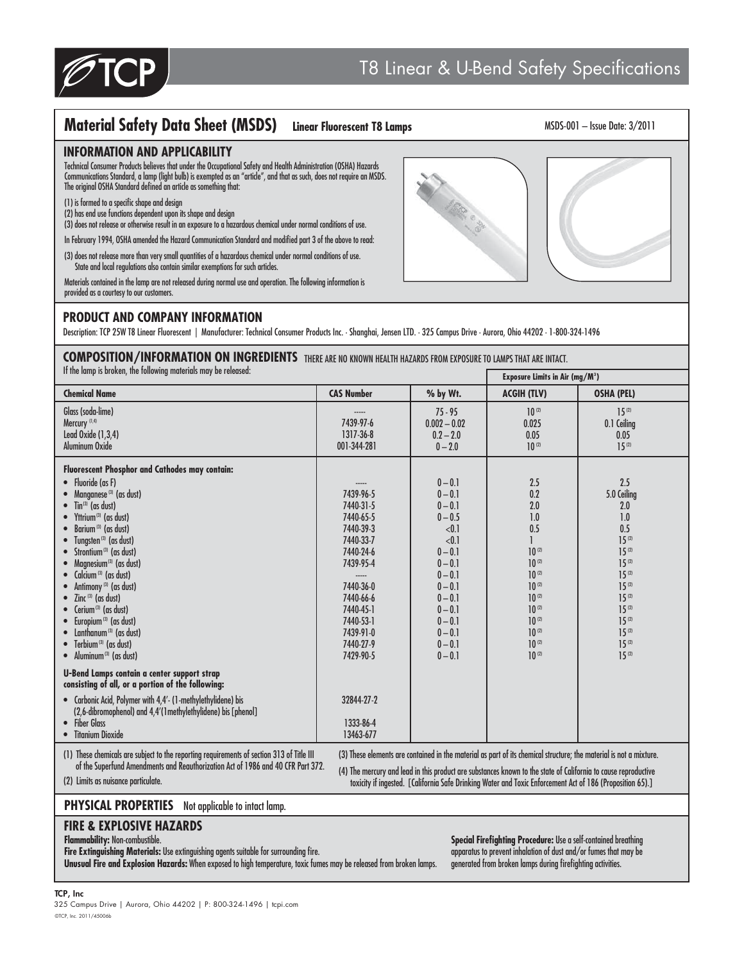

# **Material Safety Data Sheet (MSDS) Linear Fluorescent T8 Lamps**

#### MSDS-001 – Issue Date: 3/2011

## **INFORMATION AND APPLICABILITY**

Technical Consumer Products believes that under the Occupational Safety and Health Administration (OSHA) Hazards Communications Standard, a lamp (light bulb) is exempted as an "article", and that as such, does not require an MSDS. The original OSHA Standard defined an article as something that:

- (1) is formed to a specific shape and design
- (2) has end use functions dependent upon its shape and design
- (3) does not release or otherwise result in an exposure to a hazardous chemical under normal conditions of use.
- In February 1994, OSHA amended the Hazard Communication Standard and modified part 3 of the above to read: (3) does not release more than very small quantities of a hazardous chemical under normal conditions of use.
- State and local regulations also contain similar exemptions for such articles.

Materials contained in the lamp are not released during normal use and operation. The following information is provided as a courtesy to our customers.

## **PRODUCT AND COMPANY INFORMATION**

Description: TCP 25W T8 Linear Fluorescent | Manufacturer: Technical Consumer Products Inc. · Shanghai, Jensen LTD. · 325 Campus Drive · Aurora, Ohio 44202 · 1-800-324-1496

## **COMPOSITION/INFORMATION ON INGREDIENTS** THERE ARE NO KNOWN HEALTH HAZARDS FROM EXPOSURE TO LAMPS THAT ARE INTACT.

If the lamp is broken, the following materials may be rele

| ii iiio iunip is bronon, iiio ronowing iiiuroriuis iiiuy bo roiousou.                                                                                                                                                                                                                                                                                                                                                                                                                                                                                                                                                                         |                                                                                                                                                                                             |                                                                                                                                                                                                      | Exposure Limits in Air (mg/ $M^3$ )                                                                                                                                         |                                                                                                                                                                                                   |
|-----------------------------------------------------------------------------------------------------------------------------------------------------------------------------------------------------------------------------------------------------------------------------------------------------------------------------------------------------------------------------------------------------------------------------------------------------------------------------------------------------------------------------------------------------------------------------------------------------------------------------------------------|---------------------------------------------------------------------------------------------------------------------------------------------------------------------------------------------|------------------------------------------------------------------------------------------------------------------------------------------------------------------------------------------------------|-----------------------------------------------------------------------------------------------------------------------------------------------------------------------------|---------------------------------------------------------------------------------------------------------------------------------------------------------------------------------------------------|
| <b>Chemical Name</b>                                                                                                                                                                                                                                                                                                                                                                                                                                                                                                                                                                                                                          | <b>CAS Number</b>                                                                                                                                                                           | % by Wt.                                                                                                                                                                                             | <b>ACGIH (TLV)</b>                                                                                                                                                          | <b>OSHA (PEL)</b>                                                                                                                                                                                 |
| Glass (soda-lime)<br>Mercury (1,4)<br>Lead Oxide (1,3,4)<br>Aluminum Oxide                                                                                                                                                                                                                                                                                                                                                                                                                                                                                                                                                                    | 7439-97-6<br>1317-36-8<br>001-344-281                                                                                                                                                       | $75 - 95$<br>$0.002 - 0.02$<br>$0.2 - 2.0$<br>$0 - 2.0$                                                                                                                                              | $10^{(2)}$<br>0.025<br>0.05<br>$10^{(2)}$                                                                                                                                   | $15^{(2)}$<br>0.1 Ceiling<br>0.05<br>$15^{(2)}$                                                                                                                                                   |
| Fluorescent Phosphor and Cathodes may contain:<br>• Fluoride (as F)<br>Managnese <sup>(3)</sup> (as dust)<br>Tin <sup>(3)</sup> (as dust)<br>Yttrium <sup>(3)</sup> (as dust)<br>Barium <sup>(3)</sup> (as dust)<br>Tungsten <sup>(3)</sup> (as dust)<br>Strontium <sup>(3)</sup> (as dust)<br>Magnesium <sup>(3)</sup> (as dust)<br>Calcium <sup>(3)</sup> (as dust)<br>Antimony <sup>(3)</sup> (as dust)<br>$\mathsf{Zinc}$ (3) (as dust)<br>Cerium <sup>(3)</sup> (as dust)<br>Europium <sup>(3)</sup> (as dust)<br>Lanthanum <sup>(3)</sup> (as dust)<br>Terbium(3) (as dust)<br>$\bullet$<br>$\bullet$ Aluminum <sup>(3)</sup> (as dust) | 7439-96-5<br>7440-31-5<br>7440-65-5<br>7440-39-3<br>7440-33-7<br>7440-24-6<br>7439-95-4<br>-----<br>7440-36-0<br>7440-66-6<br>7440-45-1<br>7440-53-1<br>7439-91-0<br>7440-27-9<br>7429-90-5 | $0 - 0.1$<br>$0 - 0.1$<br>$0 - 0.1$<br>$0 - 0.5$<br>< 0.1<br>< 0.1<br>$0 - 0.1$<br>$0 - 0.1$<br>$0 - 0.1$<br>$0 - 0.1$<br>$0 - 0.1$<br>$0 - 0.1$<br>$0 - 0.1$<br>$0 - 0.1$<br>$0 - 0.1$<br>$0 - 0.1$ | 2.5<br>0.2<br>2.0<br>1.0<br>0.5<br>$10^{(2)}$<br>$10^{(2)}$<br>$10^{(2)}$<br>$10^{(2)}$<br>$10^{(2)}$<br>$10^{(2)}$<br>$10^{(2)}$<br>$10^{(2)}$<br>$10^{(2)}$<br>$10^{(2)}$ | 2.5<br>5.0 Ceiling<br>2.0<br>1.0<br>0.5<br>$15^{(2)}$<br>$15^{(2)}$<br>$15^{(2)}$<br>$15^{(2)}$<br>$15^{(2)}$<br>$15^{(2)}$<br>$15^{(2)}$<br>$15^{(2)}$<br>$15^{(2)}$<br>$15^{(2)}$<br>$15^{(2)}$ |
| <b>U-Bend Lamps contain a center support strap</b><br>consisting of all, or a portion of the following:                                                                                                                                                                                                                                                                                                                                                                                                                                                                                                                                       |                                                                                                                                                                                             |                                                                                                                                                                                                      |                                                                                                                                                                             |                                                                                                                                                                                                   |
| • Carbonic Acid, Polymer with 4,4'- (1-methylethylidene) bis<br>(2,6-dibromophenol) and 4,4'(1 methylethylidene) bis [phenol]<br><b>Fiber Glass</b><br>$\bullet$<br><b>Titanium Dioxide</b>                                                                                                                                                                                                                                                                                                                                                                                                                                                   | 32844-27-2<br>1333-86-4<br>13463-677                                                                                                                                                        |                                                                                                                                                                                                      |                                                                                                                                                                             |                                                                                                                                                                                                   |
| (1) These chemicals are subject to the reporting requirements of section 313 of Title III<br>(3) These elements are contained in the material as part of its chemical structure; the material is not a mixture.                                                                                                                                                                                                                                                                                                                                                                                                                               |                                                                                                                                                                                             |                                                                                                                                                                                                      |                                                                                                                                                                             |                                                                                                                                                                                                   |

 of the Superfund Amendments and Reauthorization Act of 1986 and 40 CFR Part 372. (2) Limits as nuisance particulate.

(4) The mercury and lead in this product are substances known to the state of California to cause reproductive toxicity if ingested. [California Safe Drinking Water and Toxic Enforcement Act of 186 (Proposition 65).]

#### **PHYSICAL PROPERTIES** Not applicable to intact lamp.

## **FIRE & EXPLOSIVE HAZARDS**

**Flammability:** Non-combustible.

**Fire Extinguishing Materials:** Use extinguishing agents suitable for surrounding fire.

**Unusual Fire and Explosion Hazards:** When exposed to high temperature, toxic fumes may be released from broken lamps.

**Special Firefighting Procedure:** Use a self-contained breathing apparatus to prevent inhalation of dust and/or fumes that may be generated from broken lamps during firefighting activities.